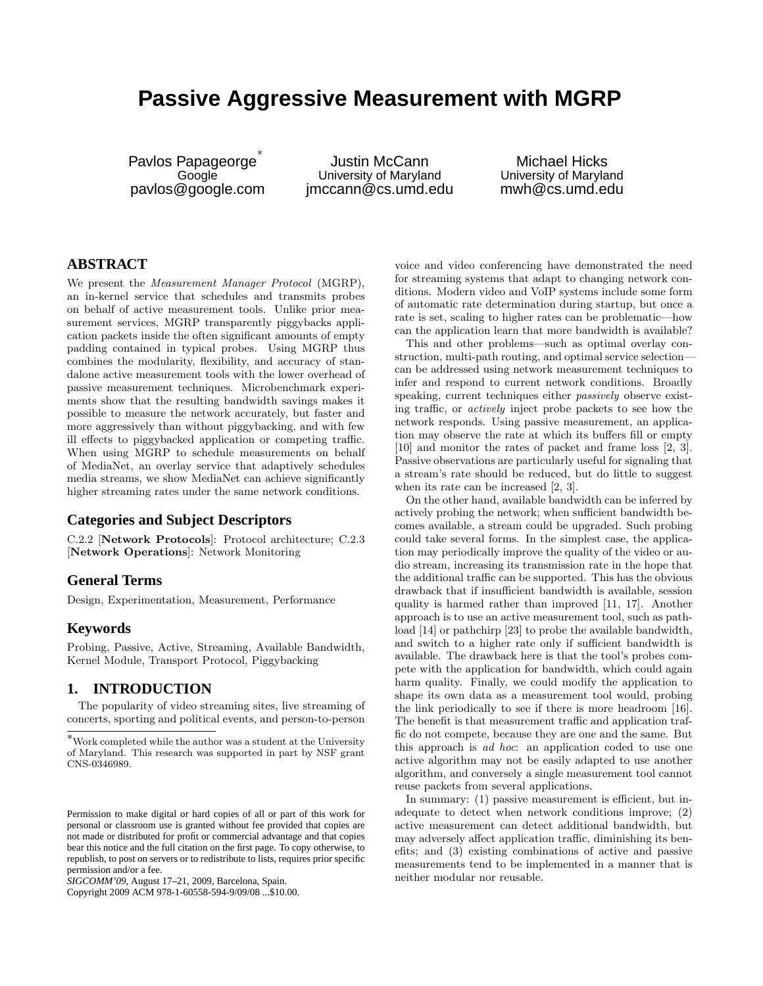# **Passive Aggressive Measurement with MGRP**

Pavlos Papageorge ∗ **Google** pavlos@google.com

Justin McCann University of Maryland jmccann@cs.umd.edu

Michael Hicks University of Maryland mwh@cs.umd.edu

# **ABSTRACT**

We present the Measurement Manager Protocol (MGRP), an in-kernel service that schedules and transmits probes on behalf of active measurement tools. Unlike prior measurement services, MGRP transparently piggybacks application packets inside the often significant amounts of empty padding contained in typical probes. Using MGRP thus combines the modularity, flexibility, and accuracy of standalone active measurement tools with the lower overhead of passive measurement techniques. Microbenchmark experiments show that the resulting bandwidth savings makes it possible to measure the network accurately, but faster and more aggressively than without piggybacking, and with few ill effects to piggybacked application or competing traffic. When using MGRP to schedule measurements on behalf of MediaNet, an overlay service that adaptively schedules media streams, we show MediaNet can achieve significantly higher streaming rates under the same network conditions.

# **Categories and Subject Descriptors**

C.2.2 [Network Protocols]: Protocol architecture; C.2.3 [Network Operations]: Network Monitoring

## **General Terms**

Design, Experimentation, Measurement, Performance

## **Keywords**

Probing, Passive, Active, Streaming, Available Bandwidth, Kernel Module, Transport Protocol, Piggybacking

## **1. INTRODUCTION**

The popularity of video streaming sites, live streaming of concerts, sporting and political events, and person-to-person

Copyright 2009 ACM 978-1-60558-594-9/09/08 ...\$10.00.

voice and video conferencing have demonstrated the need for streaming systems that adapt to changing network conditions. Modern video and VoIP systems include some form of automatic rate determination during startup, but once a rate is set, scaling to higher rates can be problematic—how can the application learn that more bandwidth is available?

This and other problems—such as optimal overlay construction, multi-path routing, and optimal service selection can be addressed using network measurement techniques to infer and respond to current network conditions. Broadly speaking, current techniques either passively observe existing traffic, or actively inject probe packets to see how the network responds. Using passive measurement, an application may observe the rate at which its buffers fill or empty [\[10\]](#page-11-0) and monitor the rates of packet and frame loss [\[2,](#page-11-1) [3\]](#page-11-2). Passive observations are particularly useful for signaling that a stream's rate should be reduced, but do little to suggest when its rate can be increased [\[2,](#page-11-1) [3\]](#page-11-2).

On the other hand, available bandwidth can be inferred by actively probing the network; when sufficient bandwidth becomes available, a stream could be upgraded. Such probing could take several forms. In the simplest case, the application may periodically improve the quality of the video or audio stream, increasing its transmission rate in the hope that the additional traffic can be supported. This has the obvious drawback that if insufficient bandwidth is available, session quality is harmed rather than improved [\[11,](#page-11-3) [17\]](#page-11-4). Another approach is to use an active measurement tool, such as pathload [\[14\]](#page-11-5) or pathchirp [\[23\]](#page-11-6) to probe the available bandwidth, and switch to a higher rate only if sufficient bandwidth is available. The drawback here is that the tool's probes compete with the application for bandwidth, which could again harm quality. Finally, we could modify the application to shape its own data as a measurement tool would, probing the link periodically to see if there is more headroom [\[16\]](#page-11-7). The benefit is that measurement traffic and application traffic do not compete, because they are one and the same. But this approach is ad hoc: an application coded to use one active algorithm may not be easily adapted to use another algorithm, and conversely a single measurement tool cannot reuse packets from several applications.

In summary: (1) passive measurement is efficient, but inadequate to detect when network conditions improve; (2) active measurement can detect additional bandwidth, but may adversely affect application traffic, diminishing its benefits; and (3) existing combinations of active and passive measurements tend to be implemented in a manner that is neither modular nor reusable.

<sup>∗</sup>Work completed while the author was a student at the University of Maryland. This research was supported in part by NSF grant CNS-0346989.

Permission to make digital or hard copies of all or part of this work for personal or classroom use is granted without fee provided that copies are not made or distributed for profit or commercial advantage and that copies bear this notice and the full citation on the first page. To copy otherwise, to republish, to post on servers or to redistribute to lists, requires prior specific permission and/or a fee.

*SIGCOMM'09,* August 17–21, 2009, Barcelona, Spain.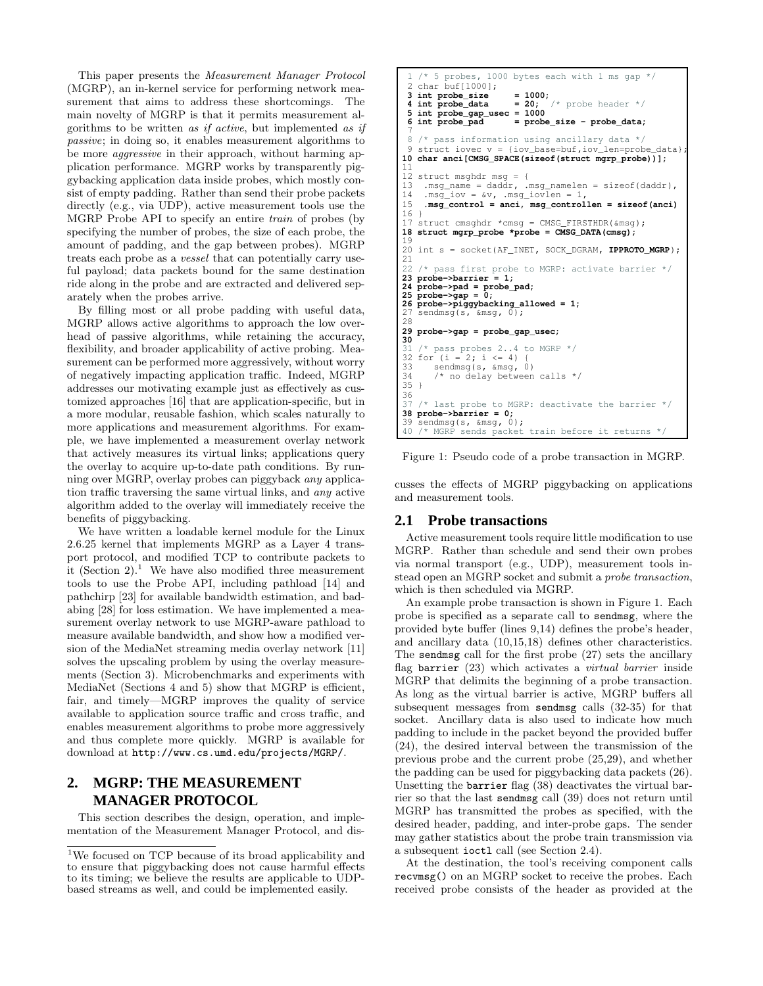This paper presents the Measurement Manager Protocol (MGRP), an in-kernel service for performing network measurement that aims to address these shortcomings. The main novelty of MGRP is that it permits measurement algorithms to be written as if active, but implemented as if passive; in doing so, it enables measurement algorithms to be more *aggressive* in their approach, without harming application performance. MGRP works by transparently piggybacking application data inside probes, which mostly consist of empty padding. Rather than send their probe packets directly (e.g., via UDP), active measurement tools use the MGRP Probe API to specify an entire train of probes (by specifying the number of probes, the size of each probe, the amount of padding, and the gap between probes). MGRP treats each probe as a vessel that can potentially carry useful payload; data packets bound for the same destination ride along in the probe and are extracted and delivered separately when the probes arrive.

By filling most or all probe padding with useful data, MGRP allows active algorithms to approach the low overhead of passive algorithms, while retaining the accuracy, flexibility, and broader applicability of active probing. Measurement can be performed more aggressively, without worry of negatively impacting application traffic. Indeed, MGRP addresses our motivating example just as effectively as customized approaches [\[16\]](#page-11-7) that are application-specific, but in a more modular, reusable fashion, which scales naturally to more applications and measurement algorithms. For example, we have implemented a measurement overlay network that actively measures its virtual links; applications query the overlay to acquire up-to-date path conditions. By running over MGRP, overlay probes can piggyback any application traffic traversing the same virtual links, and any active algorithm added to the overlay will immediately receive the benefits of piggybacking.

We have written a loadable kernel module for the Linux 2.6.25 kernel that implements MGRP as a Layer 4 transport protocol, and modified TCP to contribute packets to it (Section [2\)](#page-1-0).<sup>[1](#page-1-1)</sup> We have also modified three measurement tools to use the Probe API, including pathload [\[14\]](#page-11-5) and pathchirp [\[23\]](#page-11-6) for available bandwidth estimation, and badabing [\[28\]](#page-11-8) for loss estimation. We have implemented a measurement overlay network to use MGRP-aware pathload to measure available bandwidth, and show how a modified version of the MediaNet streaming media overlay network [\[11\]](#page-11-3) solves the upscaling problem by using the overlay measurements (Section [3\)](#page-4-0). Microbenchmarks and experiments with MediaNet (Sections [4](#page-5-0) and [5\)](#page-8-0) show that MGRP is efficient, fair, and timely—MGRP improves the quality of service available to application source traffic and cross traffic, and enables measurement algorithms to probe more aggressively and thus complete more quickly. MGRP is available for download at <http://www.cs.umd.edu/projects/MGRP/>.

# <span id="page-1-0"></span>**2. MGRP: THE MEASUREMENT MANAGER PROTOCOL**

This section describes the design, operation, and implementation of the Measurement Manager Protocol, and dis-

```
5 probes, 1000 bytes each with 1 ms gap */2 char \text{buf}[1000];<br>3 int probe_size
  3 int probe_size = 1000; 
                                       /* probe header */
  5 int probe_gap_usec = 1000
                              6 int probe_pad = probe_size - probe_data;
 7
  8 /* pass information using ancillary data */
  9 struct iovec v = {iov_base=buf,iov_len=probe_data};
10 char anci[CMSG_SPACE(sizeof(struct mgrp_probe))];
\begin{array}{c} 11 \\ 12 \end{array}struct msghdr msg = {
13 .msg_name = daddr, .msg_namelen = sizeof(daddr),
14 .msg_iov = &v, .msg_iovlen = 1,<br>15 .msg_control = anci, msg_control
     15 .msg_control = anci, msg_controllen = sizeof(anci)
\frac{16}{17}17 struct cmsghdr *cmsg = CMSG_FIRSTHDR(&msg);
18 struct mgrp_probe *probe = CMSG_DATA(cmsg);
1 <sup>c</sup>
20 int s = socket(AF_INET, SOCK_DGRAM, IPPROTO_MGRP);
21
22 /* pass first probe to MGRP: activate barrier */
23 probe->barrier = 1;
24 probe->pad = probe_pad;
25 probe->gap = 0;
26 probe->piggybacking_allowed = 1;<br>27 sendmsg(s, \&msg, 0):
   sendmsg(s, \&msg, 0);28
29 probe->gap = probe_gap_usec;
30
31 /* pass probes 2..4 to MGRP */<br>32 for (i = 2; i \le 4) {
32 for (i = 2; i \le 4)<br>33 sendmsq(s, &msq,
33 sendmsg(s, \text{kmsg}, 0)<br>34 /* no delay between
        /* no delay between calls */
35 }
36<br>37
    /* last probe to MGRP: deactivate the barrier */
38 probe->barrier = 0;<br>39 sendmsq(s, &msq, 0
39 sendmsg(s, &msg, 0);
40 /* MGRP sends packet train before it returns */
```
<span id="page-1-2"></span>Figure 1: Pseudo code of a probe transaction in MGRP.

cusses the effects of MGRP piggybacking on applications and measurement tools.

## <span id="page-1-3"></span>**2.1 Probe transactions**

Active measurement tools require little modification to use MGRP. Rather than schedule and send their own probes via normal transport (e.g., UDP), measurement tools instead open an MGRP socket and submit a probe transaction, which is then scheduled via MGRP.

An example probe transaction is shown in Figure [1.](#page-1-2) Each probe is specified as a separate call to sendmsg, where the provided byte buffer (lines 9,14) defines the probe's header, and ancillary data (10,15,18) defines other characteristics. The sendmsg call for the first probe (27) sets the ancillary flag barrier (23) which activates a virtual barrier inside MGRP that delimits the beginning of a probe transaction. As long as the virtual barrier is active, MGRP buffers all subsequent messages from sendmsg calls (32-35) for that socket. Ancillary data is also used to indicate how much padding to include in the packet beyond the provided buffer (24), the desired interval between the transmission of the previous probe and the current probe (25,29), and whether the padding can be used for piggybacking data packets (26). Unsetting the barrier flag (38) deactivates the virtual barrier so that the last sendmsg call (39) does not return until MGRP has transmitted the probes as specified, with the desired header, padding, and inter-probe gaps. The sender may gather statistics about the probe train transmission via a subsequent ioctl call (see Section [2.4\)](#page-3-0).

At the destination, the tool's receiving component calls recvmsg() on an MGRP socket to receive the probes. Each received probe consists of the header as provided at the

<span id="page-1-1"></span> $^1\rm{We}$  focused on TCP because of its broad applicability and to ensure that piggybacking does not cause harmful effects to its timing; we believe the results are applicable to UDPbased streams as well, and could be implemented easily.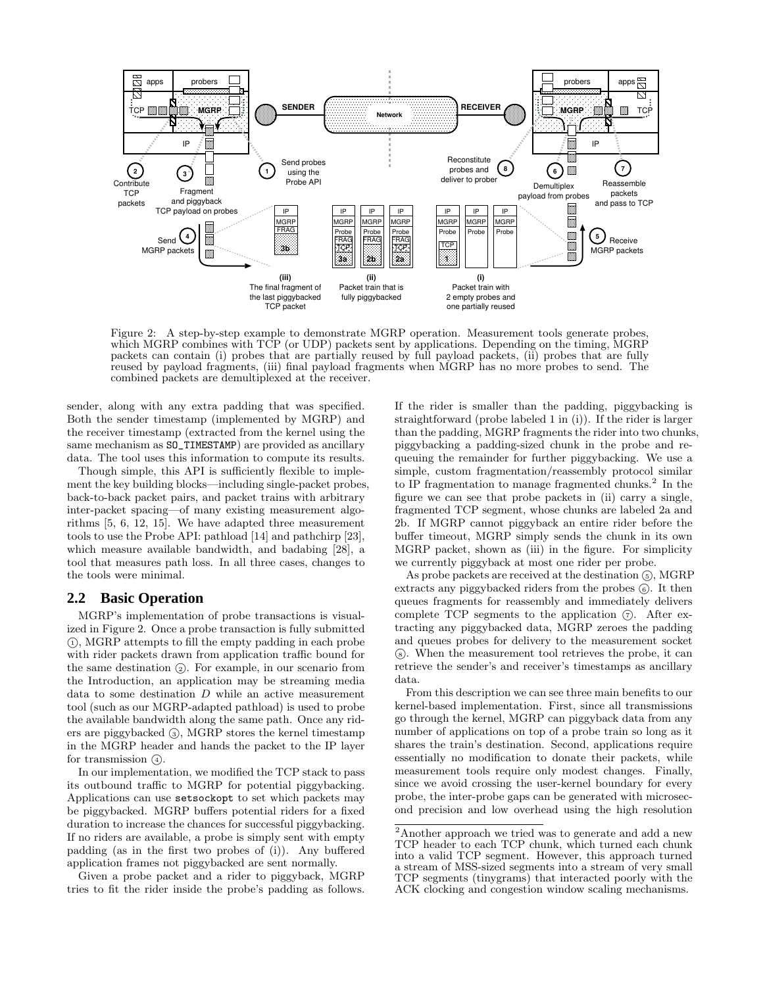

<span id="page-2-0"></span>Figure 2: A step-by-step example to demonstrate MGRP operation. Measurement tools generate probes, which MGRP combines with TCP (or UDP) packets sent by applications. Depending on the timing, MGRP packets can contain (i) probes that are partially reused by full payload packets, (ii) probes that are fully reused by payload fragments, (iii) final payload fragments when MGRP has no more probes to send. The combined packets are demultiplexed at the receiver.

sender, along with any extra padding that was specified. Both the sender timestamp (implemented by MGRP) and the receiver timestamp (extracted from the kernel using the same mechanism as SO\_TIMESTAMP) are provided as ancillary data. The tool uses this information to compute its results.

Though simple, this API is sufficiently flexible to implement the key building blocks—including single-packet probes, back-to-back packet pairs, and packet trains with arbitrary inter-packet spacing—of many existing measurement algorithms [\[5,](#page-11-9) [6,](#page-11-10) [12,](#page-11-11) [15\]](#page-11-12). We have adapted three measurement tools to use the Probe API: pathload [\[14\]](#page-11-5) and pathchirp [\[23\]](#page-11-6), which measure available bandwidth, and badabing [\[28\]](#page-11-8), a tool that measures path loss. In all three cases, changes to the tools were minimal.

# **2.2 Basic Operation**

MGRP's implementation of probe transactions is visualized in Figure [2.](#page-2-0) Once a probe transaction is fully submitted  $(1)$ , MGRP attempts to fill the empty padding in each probe with rider packets drawn from application traffic bound for the same destination  $(2)$ . For example, in our scenario from the Introduction, an application may be streaming media data to some destination  $D$  while an active measurement tool (such as our MGRP-adapted pathload) is used to probe the available bandwidth along the same path. Once any riders are piggybacked  $(3)$ , MGRP stores the kernel timestamp in the MGRP header and hands the packet to the IP layer for transmission  $\mathcal{A}$ .

In our implementation, we modified the TCP stack to pass its outbound traffic to MGRP for potential piggybacking. Applications can use setsockopt to set which packets may be piggybacked. MGRP buffers potential riders for a fixed duration to increase the chances for successful piggybacking. If no riders are available, a probe is simply sent with empty padding (as in the first two probes of (i)). Any buffered application frames not piggybacked are sent normally.

Given a probe packet and a rider to piggyback, MGRP tries to fit the rider inside the probe's padding as follows.

If the rider is smaller than the padding, piggybacking is straightforward (probe labeled 1 in (i)). If the rider is larger than the padding, MGRP fragments the rider into two chunks, piggybacking a padding-sized chunk in the probe and requeuing the remainder for further piggybacking. We use a simple, custom fragmentation/reassembly protocol similar to IP fragmentation to manage fragmented chunks. $^{2}$  $^{2}$  $^{2}$  In the figure we can see that probe packets in (ii) carry a single, fragmented TCP segment, whose chunks are labeled 2a and 2b. If MGRP cannot piggyback an entire rider before the buffer timeout, MGRP simply sends the chunk in its own MGRP packet, shown as (iii) in the figure. For simplicity we currently piggyback at most one rider per probe.

As probe packets are received at the destination (5), MGRP extracts any piggybacked riders from the probes  $\binom{6}{6}$ . It then queues fragments for reassembly and immediately delivers complete TCP segments to the application  $\widehat{r}$ . After extracting any piggybacked data, MGRP zeroes the padding and queues probes for delivery to the measurement socket  $\delta$ . When the measurement tool retrieves the probe, it can retrieve the sender's and receiver's timestamps as ancillary data.

From this description we can see three main benefits to our kernel-based implementation. First, since all transmissions go through the kernel, MGRP can piggyback data from any number of applications on top of a probe train so long as it shares the train's destination. Second, applications require essentially no modification to donate their packets, while measurement tools require only modest changes. Finally, since we avoid crossing the user-kernel boundary for every probe, the inter-probe gaps can be generated with microsecond precision and low overhead using the high resolution

<span id="page-2-1"></span><sup>2</sup>Another approach we tried was to generate and add a new TCP header to each TCP chunk, which turned each chunk into a valid TCP segment. However, this approach turned a stream of MSS-sized segments into a stream of very small TCP segments (tinygrams) that interacted poorly with the ACK clocking and congestion window scaling mechanisms.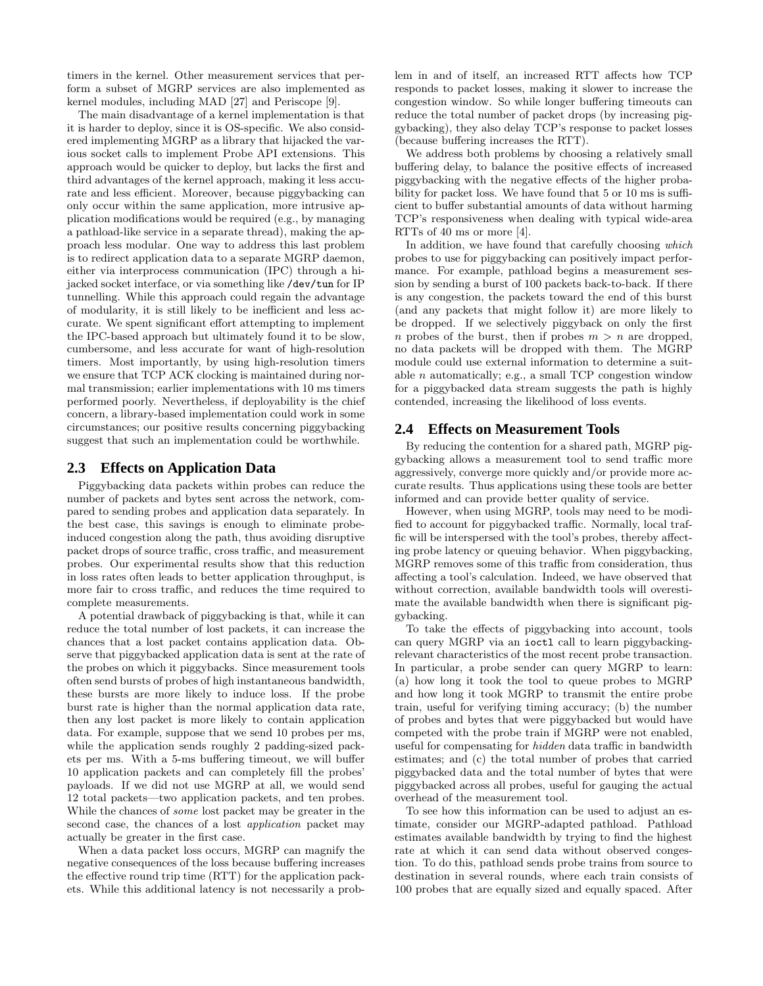timers in the kernel. Other measurement services that perform a subset of MGRP services are also implemented as kernel modules, including MAD [\[27\]](#page-11-13) and Periscope [\[9\]](#page-11-14).

The main disadvantage of a kernel implementation is that it is harder to deploy, since it is OS-specific. We also considered implementing MGRP as a library that hijacked the various socket calls to implement Probe API extensions. This approach would be quicker to deploy, but lacks the first and third advantages of the kernel approach, making it less accurate and less efficient. Moreover, because piggybacking can only occur within the same application, more intrusive application modifications would be required (e.g., by managing a pathload-like service in a separate thread), making the approach less modular. One way to address this last problem is to redirect application data to a separate MGRP daemon, either via interprocess communication (IPC) through a hijacked socket interface, or via something like /dev/tun for IP tunnelling. While this approach could regain the advantage of modularity, it is still likely to be inefficient and less accurate. We spent significant effort attempting to implement the IPC-based approach but ultimately found it to be slow, cumbersome, and less accurate for want of high-resolution timers. Most importantly, by using high-resolution timers we ensure that TCP ACK clocking is maintained during normal transmission; earlier implementations with 10 ms timers performed poorly. Nevertheless, if deployability is the chief concern, a library-based implementation could work in some circumstances; our positive results concerning piggybacking suggest that such an implementation could be worthwhile.

## <span id="page-3-1"></span>**2.3 Effects on Application Data**

Piggybacking data packets within probes can reduce the number of packets and bytes sent across the network, compared to sending probes and application data separately. In the best case, this savings is enough to eliminate probeinduced congestion along the path, thus avoiding disruptive packet drops of source traffic, cross traffic, and measurement probes. Our experimental results show that this reduction in loss rates often leads to better application throughput, is more fair to cross traffic, and reduces the time required to complete measurements.

A potential drawback of piggybacking is that, while it can reduce the total number of lost packets, it can increase the chances that a lost packet contains application data. Observe that piggybacked application data is sent at the rate of the probes on which it piggybacks. Since measurement tools often send bursts of probes of high instantaneous bandwidth, these bursts are more likely to induce loss. If the probe burst rate is higher than the normal application data rate, then any lost packet is more likely to contain application data. For example, suppose that we send 10 probes per ms, while the application sends roughly 2 padding-sized packets per ms. With a 5-ms buffering timeout, we will buffer 10 application packets and can completely fill the probes' payloads. If we did not use MGRP at all, we would send 12 total packets—two application packets, and ten probes. While the chances of some lost packet may be greater in the second case, the chances of a lost application packet may actually be greater in the first case.

When a data packet loss occurs, MGRP can magnify the negative consequences of the loss because buffering increases the effective round trip time (RTT) for the application packets. While this additional latency is not necessarily a problem in and of itself, an increased RTT affects how TCP responds to packet losses, making it slower to increase the congestion window. So while longer buffering timeouts can reduce the total number of packet drops (by increasing piggybacking), they also delay TCP's response to packet losses (because buffering increases the RTT).

We address both problems by choosing a relatively small buffering delay, to balance the positive effects of increased piggybacking with the negative effects of the higher probability for packet loss. We have found that 5 or 10 ms is sufficient to buffer substantial amounts of data without harming TCP's responsiveness when dealing with typical wide-area RTTs of 40 ms or more [\[4\]](#page-11-15).

In addition, we have found that carefully choosing which probes to use for piggybacking can positively impact performance. For example, pathload begins a measurement session by sending a burst of 100 packets back-to-back. If there is any congestion, the packets toward the end of this burst (and any packets that might follow it) are more likely to be dropped. If we selectively piggyback on only the first n probes of the burst, then if probes  $m > n$  are dropped, no data packets will be dropped with them. The MGRP module could use external information to determine a suitable n automatically; e.g., a small TCP congestion window for a piggybacked data stream suggests the path is highly contended, increasing the likelihood of loss events.

## <span id="page-3-0"></span>**2.4 Effects on Measurement Tools**

By reducing the contention for a shared path, MGRP piggybacking allows a measurement tool to send traffic more aggressively, converge more quickly and/or provide more accurate results. Thus applications using these tools are better informed and can provide better quality of service.

However, when using MGRP, tools may need to be modified to account for piggybacked traffic. Normally, local traffic will be interspersed with the tool's probes, thereby affecting probe latency or queuing behavior. When piggybacking, MGRP removes some of this traffic from consideration, thus affecting a tool's calculation. Indeed, we have observed that without correction, available bandwidth tools will overestimate the available bandwidth when there is significant piggybacking.

To take the effects of piggybacking into account, tools can query MGRP via an ioctl call to learn piggybackingrelevant characteristics of the most recent probe transaction. In particular, a probe sender can query MGRP to learn: (a) how long it took the tool to queue probes to MGRP and how long it took MGRP to transmit the entire probe train, useful for verifying timing accuracy; (b) the number of probes and bytes that were piggybacked but would have competed with the probe train if MGRP were not enabled, useful for compensating for hidden data traffic in bandwidth estimates; and (c) the total number of probes that carried piggybacked data and the total number of bytes that were piggybacked across all probes, useful for gauging the actual overhead of the measurement tool.

To see how this information can be used to adjust an estimate, consider our MGRP-adapted pathload. Pathload estimates available bandwidth by trying to find the highest rate at which it can send data without observed congestion. To do this, pathload sends probe trains from source to destination in several rounds, where each train consists of 100 probes that are equally sized and equally spaced. After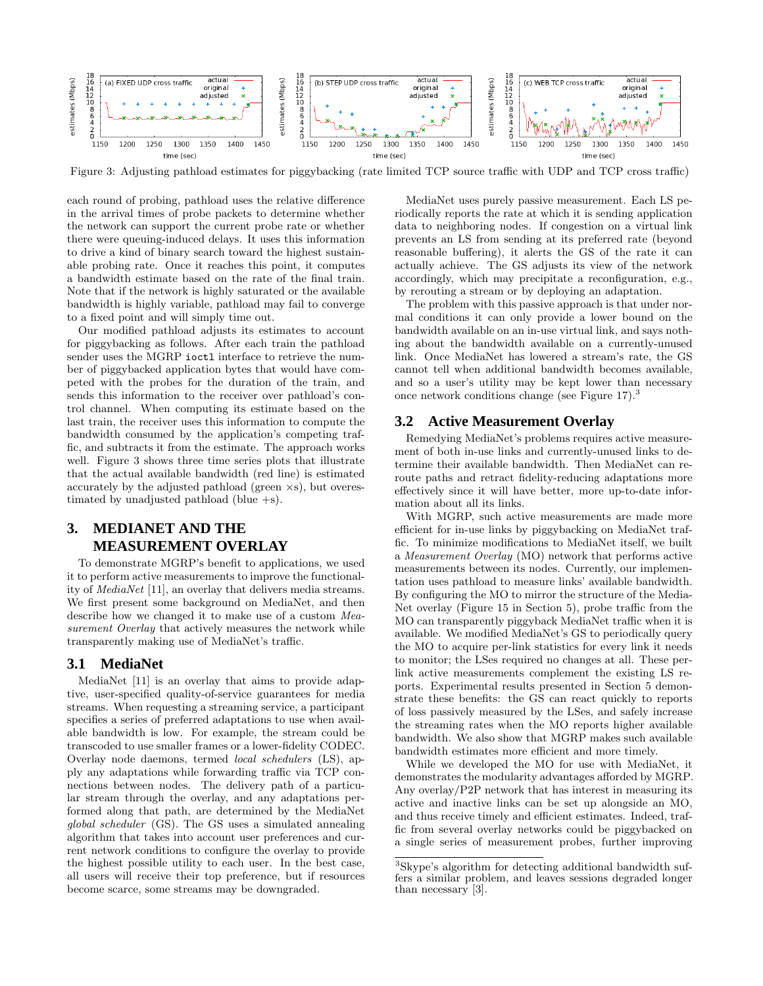

<span id="page-4-1"></span>Figure 3: Adjusting pathload estimates for piggybacking (rate limited TCP source traffic with UDP and TCP cross traffic)

each round of probing, pathload uses the relative difference in the arrival times of probe packets to determine whether the network can support the current probe rate or whether there were queuing-induced delays. It uses this information to drive a kind of binary search toward the highest sustainable probing rate. Once it reaches this point, it computes a bandwidth estimate based on the rate of the final train. Note that if the network is highly saturated or the available bandwidth is highly variable, pathload may fail to converge to a fixed point and will simply time out.

Our modified pathload adjusts its estimates to account for piggybacking as follows. After each train the pathload sender uses the MGRP ioctl interface to retrieve the number of piggybacked application bytes that would have competed with the probes for the duration of the train, and sends this information to the receiver over pathload's control channel. When computing its estimate based on the last train, the receiver uses this information to compute the bandwidth consumed by the application's competing traffic, and subtracts it from the estimate. The approach works well. Figure [3](#page-4-1) shows three time series plots that illustrate that the actual available bandwidth (red line) is estimated accurately by the adjusted pathload (green ×s), but overestimated by unadjusted pathload (blue +s).

# <span id="page-4-0"></span>**3. MEDIANET AND THE MEASUREMENT OVERLAY**

To demonstrate MGRP's benefit to applications, we used it to perform active measurements to improve the functionality of MediaNet [\[11\]](#page-11-3), an overlay that delivers media streams. We first present some background on MediaNet, and then describe how we changed it to make use of a custom Measurement Overlay that actively measures the network while transparently making use of MediaNet's traffic.

# **3.1 MediaNet**

MediaNet [\[11\]](#page-11-3) is an overlay that aims to provide adaptive, user-specified quality-of-service guarantees for media streams. When requesting a streaming service, a participant specifies a series of preferred adaptations to use when available bandwidth is low. For example, the stream could be transcoded to use smaller frames or a lower-fidelity CODEC. Overlay node daemons, termed local schedulers (LS), apply any adaptations while forwarding traffic via TCP connections between nodes. The delivery path of a particular stream through the overlay, and any adaptations performed along that path, are determined by the MediaNet global scheduler (GS). The GS uses a simulated annealing algorithm that takes into account user preferences and current network conditions to configure the overlay to provide the highest possible utility to each user. In the best case, all users will receive their top preference, but if resources become scarce, some streams may be downgraded.

MediaNet uses purely passive measurement. Each LS periodically reports the rate at which it is sending application data to neighboring nodes. If congestion on a virtual link prevents an LS from sending at its preferred rate (beyond reasonable buffering), it alerts the GS of the rate it can actually achieve. The GS adjusts its view of the network accordingly, which may precipitate a reconfiguration, e.g., by rerouting a stream or by deploying an adaptation.

The problem with this passive approach is that under normal conditions it can only provide a lower bound on the bandwidth available on an in-use virtual link, and says nothing about the bandwidth available on a currently-unused link. Once MediaNet has lowered a stream's rate, the GS cannot tell when additional bandwidth becomes available, and so a user's utility may be kept lower than necessary once network conditions change (see Figure [17\)](#page-10-0).[3](#page-4-2)

#### **3.2 Active Measurement Overlay**

Remedying MediaNet's problems requires active measurement of both in-use links and currently-unused links to determine their available bandwidth. Then MediaNet can reroute paths and retract fidelity-reducing adaptations more effectively since it will have better, more up-to-date information about all its links.

With MGRP, such active measurements are made more efficient for in-use links by piggybacking on MediaNet traffic. To minimize modifications to MediaNet itself, we built a Measurement Overlay (MO) network that performs active measurements between its nodes. Currently, our implementation uses pathload to measure links' available bandwidth. By configuring the MO to mirror the structure of the Media-Net overlay (Figure [15](#page-9-0) in Section [5\)](#page-8-0), probe traffic from the MO can transparently piggyback MediaNet traffic when it is available. We modified MediaNet's GS to periodically query the MO to acquire per-link statistics for every link it needs to monitor; the LSes required no changes at all. These perlink active measurements complement the existing LS reports. Experimental results presented in Section [5](#page-8-0) demonstrate these benefits: the GS can react quickly to reports of loss passively measured by the LSes, and safely increase the streaming rates when the MO reports higher available bandwidth. We also show that MGRP makes such available bandwidth estimates more efficient and more timely.

While we developed the MO for use with MediaNet, it demonstrates the modularity advantages afforded by MGRP. Any overlay/P2P network that has interest in measuring its active and inactive links can be set up alongside an MO, and thus receive timely and efficient estimates. Indeed, traffic from several overlay networks could be piggybacked on a single series of measurement probes, further improving

<span id="page-4-2"></span> ${}^{3}\mathrm{Skype}$  's algorithm for detecting additional bandwidth suffers a similar problem, and leaves sessions degraded longer than necessary [\[3\]](#page-11-2).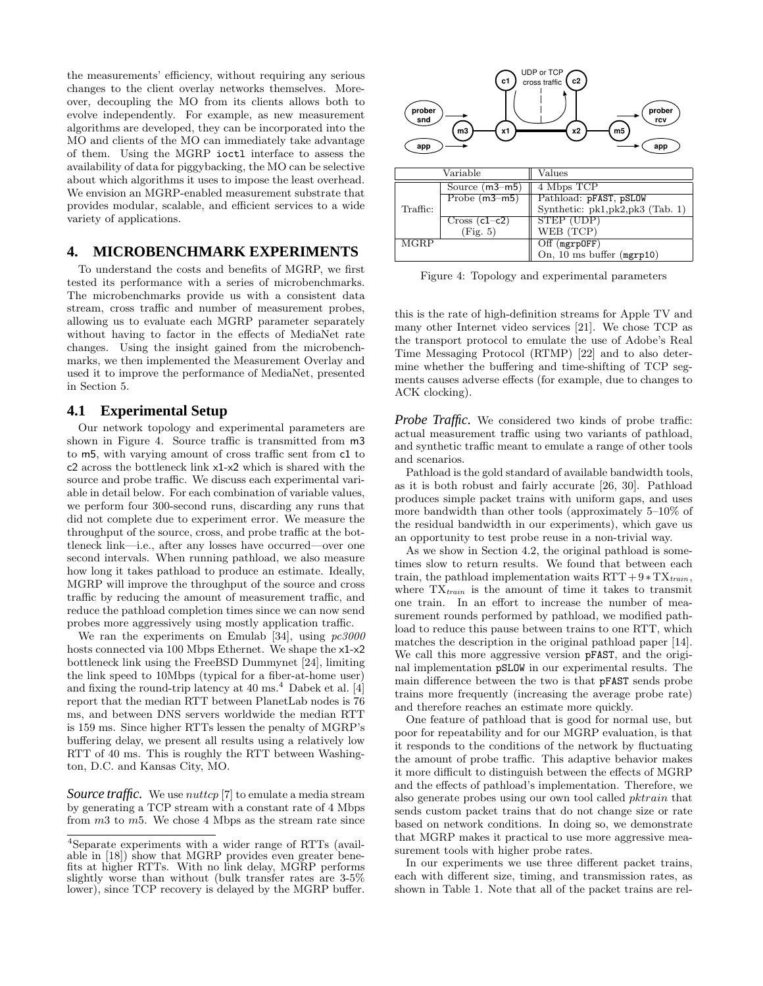the measurements' efficiency, without requiring any serious changes to the client overlay networks themselves. Moreover, decoupling the MO from its clients allows both to evolve independently. For example, as new measurement algorithms are developed, they can be incorporated into the MO and clients of the MO can immediately take advantage of them. Using the MGRP ioctl interface to assess the availability of data for piggybacking, the MO can be selective about which algorithms it uses to impose the least overhead. We envision an MGRP-enabled measurement substrate that provides modular, scalable, and efficient services to a wide variety of applications.

## <span id="page-5-0"></span>**4. MICROBENCHMARK EXPERIMENTS**

To understand the costs and benefits of MGRP, we first tested its performance with a series of microbenchmarks. The microbenchmarks provide us with a consistent data stream, cross traffic and number of measurement probes, allowing us to evaluate each MGRP parameter separately without having to factor in the effects of MediaNet rate changes. Using the insight gained from the microbenchmarks, we then implemented the Measurement Overlay and used it to improve the performance of MediaNet, presented in Section [5.](#page-8-0)

# **4.1 Experimental Setup**

Our network topology and experimental parameters are shown in Figure [4.](#page-5-1) Source traffic is transmitted from m3 to m5, with varying amount of cross traffic sent from c1 to c2 across the bottleneck link x1-x2 which is shared with the source and probe traffic. We discuss each experimental variable in detail below. For each combination of variable values, we perform four 300-second runs, discarding any runs that did not complete due to experiment error. We measure the throughput of the source, cross, and probe traffic at the bottleneck link—i.e., after any losses have occurred—over one second intervals. When running pathload, we also measure how long it takes pathload to produce an estimate. Ideally, MGRP will improve the throughput of the source and cross traffic by reducing the amount of measurement traffic, and reduce the pathload completion times since we can now send probes more aggressively using mostly application traffic.

We ran the experiments on Emulab [\[34\]](#page-11-16), using  $pc3000$ hosts connected via 100 Mbps Ethernet. We shape the x1-x2 bottleneck link using the FreeBSD Dummynet [\[24\]](#page-11-17), limiting the link speed to 10Mbps (typical for a fiber-at-home user) and fixing the round-trip latency at  $40 \text{ ms}^4$  $40 \text{ ms}^4$ . Dabek et al. [\[4\]](#page-11-15) report that the median RTT between PlanetLab nodes is 76 ms, and between DNS servers worldwide the median RTT is 159 ms. Since higher RTTs lessen the penalty of MGRP's buffering delay, we present all results using a relatively low RTT of 40 ms. This is roughly the RTT between Washington, D.C. and Kansas City, MO.

*Source traffic.* We use *nuttcp* [\[7\]](#page-11-18) to emulate a media stream by generating a TCP stream with a constant rate of 4 Mbps from  $m3$  to  $m5$ . We chose 4 Mbps as the stream rate since



<span id="page-5-1"></span>Figure 4: Topology and experimental parameters

this is the rate of high-definition streams for Apple TV and many other Internet video services [\[21\]](#page-11-20). We chose TCP as the transport protocol to emulate the use of Adobe's Real Time Messaging Protocol (RTMP) [\[22\]](#page-11-21) and to also determine whether the buffering and time-shifting of TCP segments causes adverse effects (for example, due to changes to ACK clocking).

*Probe Traffic.* We considered two kinds of probe traffic: actual measurement traffic using two variants of pathload, and synthetic traffic meant to emulate a range of other tools and scenarios.

Pathload is the gold standard of available bandwidth tools, as it is both robust and fairly accurate [\[26,](#page-11-22) [30\]](#page-11-23). Pathload produces simple packet trains with uniform gaps, and uses more bandwidth than other tools (approximately 5–10% of the residual bandwidth in our experiments), which gave us an opportunity to test probe reuse in a non-trivial way.

As we show in Section [4.2,](#page-6-2) the original pathload is sometimes slow to return results. We found that between each train, the pathload implementation waits  $RTT + 9 * TX_{train}$ , where  $TX_{train}$  is the amount of time it takes to transmit one train. In an effort to increase the number of measurement rounds performed by pathload, we modified pathload to reduce this pause between trains to one RTT, which matches the description in the original pathload paper [\[14\]](#page-11-5). We call this more aggressive version pFAST, and the original implementation pSLOW in our experimental results. The main difference between the two is that pFAST sends probe trains more frequently (increasing the average probe rate) and therefore reaches an estimate more quickly.

One feature of pathload that is good for normal use, but poor for repeatability and for our MGRP evaluation, is that it responds to the conditions of the network by fluctuating the amount of probe traffic. This adaptive behavior makes it more difficult to distinguish between the effects of MGRP and the effects of pathload's implementation. Therefore, we also generate probes using our own tool called pktrain that sends custom packet trains that do not change size or rate based on network conditions. In doing so, we demonstrate that MGRP makes it practical to use more aggressive measurement tools with higher probe rates.

In our experiments we use three different packet trains, each with different size, timing, and transmission rates, as shown in Table [1.](#page-6-0) Note that all of the packet trains are rel-

<span id="page-5-2"></span><sup>4</sup>Separate experiments with a wider range of RTTs (available in [\[18\]](#page-11-19)) show that MGRP provides even greater benefits at higher RTTs. With no link delay, MGRP performs slightly worse than without (bulk transfer rates are 3-5% lower), since TCP recovery is delayed by the MGRP buffer.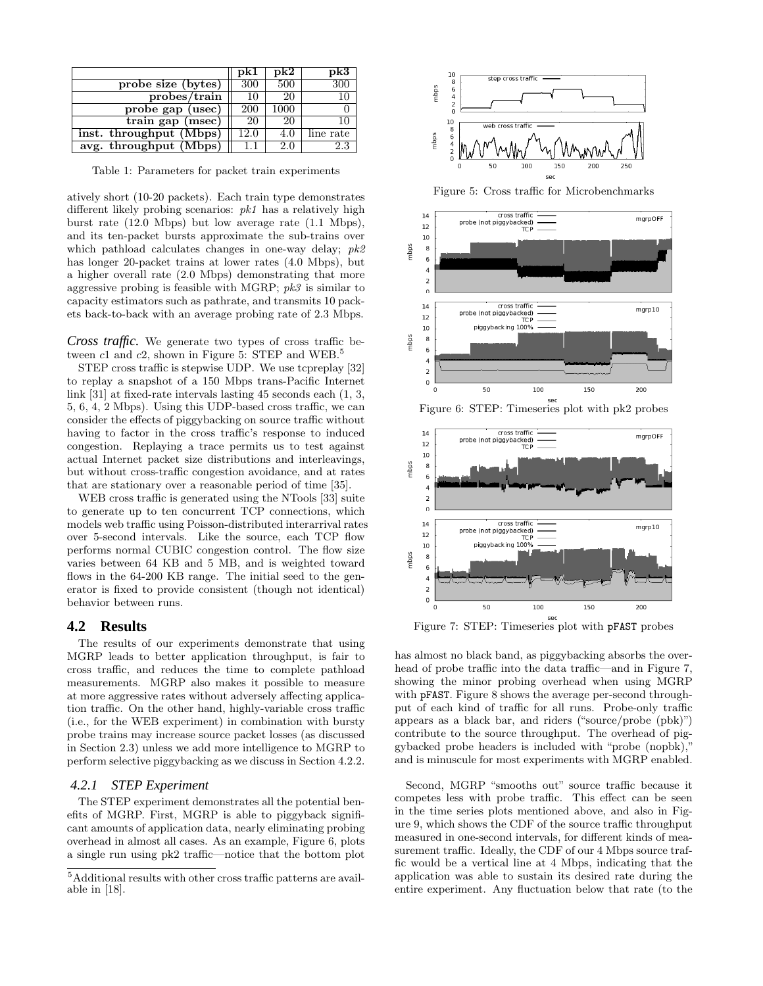|                         | pk1  | pk2  | pk3       |
|-------------------------|------|------|-----------|
| probe size (bytes)      | 300  | 500  | 300       |
| probes/train            | 10   | 20   | 10        |
| probe gap (usec)        | 200  | 1000 |           |
| $train$ gap (msec)      | 20   | 20   | 10        |
| inst. throughput (Mbps) | 12.0 | 4.0  | line rate |
| avg. throughput (Mbps)  |      | 2.0  | 23        |

<span id="page-6-0"></span>Table 1: Parameters for packet train experiments

atively short (10-20 packets). Each train type demonstrates different likely probing scenarios:  $pk1$  has a relatively high burst rate (12.0 Mbps) but low average rate (1.1 Mbps), and its ten-packet bursts approximate the sub-trains over which pathload calculates changes in one-way delay;  $pk2$ has longer 20-packet trains at lower rates (4.0 Mbps), but a higher overall rate (2.0 Mbps) demonstrating that more aggressive probing is feasible with MGRP;  $pk3$  is similar to capacity estimators such as pathrate, and transmits 10 packets back-to-back with an average probing rate of 2.3 Mbps.

*Cross traffic.* We generate two types of cross traffic be-tween c1 and c2, shown in Figure [5:](#page-6-1) STEP and WEB.<sup>[5](#page-6-3)</sup>

STEP cross traffic is stepwise UDP. We use tcpreplay [\[32\]](#page-11-24) to replay a snapshot of a 150 Mbps trans-Pacific Internet link [\[31\]](#page-11-25) at fixed-rate intervals lasting 45 seconds each (1, 3, 5, 6, 4, 2 Mbps). Using this UDP-based cross traffic, we can consider the effects of piggybacking on source traffic without having to factor in the cross traffic's response to induced congestion. Replaying a trace permits us to test against actual Internet packet size distributions and interleavings, but without cross-traffic congestion avoidance, and at rates that are stationary over a reasonable period of time [\[35\]](#page-11-26).

WEB cross traffic is generated using the NTools [\[33\]](#page-11-27) suite to generate up to ten concurrent TCP connections, which models web traffic using Poisson-distributed interarrival rates over 5-second intervals. Like the source, each TCP flow performs normal CUBIC congestion control. The flow size varies between 64 KB and 5 MB, and is weighted toward flows in the 64-200 KB range. The initial seed to the generator is fixed to provide consistent (though not identical) behavior between runs.

#### <span id="page-6-2"></span>**4.2 Results**

The results of our experiments demonstrate that using MGRP leads to better application throughput, is fair to cross traffic, and reduces the time to complete pathload measurements. MGRP also makes it possible to measure at more aggressive rates without adversely affecting application traffic. On the other hand, highly-variable cross traffic (i.e., for the WEB experiment) in combination with bursty probe trains may increase source packet losses (as discussed in Section [2.3\)](#page-3-1) unless we add more intelligence to MGRP to perform selective piggybacking as we discuss in Section [4.2.2.](#page-7-0)

#### *4.2.1 STEP Experiment*

The STEP experiment demonstrates all the potential benefits of MGRP. First, MGRP is able to piggyback significant amounts of application data, nearly eliminating probing overhead in almost all cases. As an example, Figure [6,](#page-6-4) plots a single run using pk2 traffic—notice that the bottom plot



<span id="page-6-1"></span>Figure 5: Cross traffic for Microbenchmarks



<span id="page-6-4"></span>



<span id="page-6-5"></span>Figure 7: STEP: Timeseries plot with pFAST probes

has almost no black band, as piggybacking absorbs the overhead of probe traffic into the data traffic—and in Figure [7,](#page-6-5) showing the minor probing overhead when using MGRP with pFAST. Figure [8](#page-7-1) shows the average per-second throughput of each kind of traffic for all runs. Probe-only traffic appears as a black bar, and riders ("source/probe (pbk)") contribute to the source throughput. The overhead of piggybacked probe headers is included with "probe (nopbk)," and is minuscule for most experiments with MGRP enabled.

Second, MGRP "smooths out" source traffic because it competes less with probe traffic. This effect can be seen in the time series plots mentioned above, and also in Figure [9,](#page-7-2) which shows the CDF of the source traffic throughput measured in one-second intervals, for different kinds of measurement traffic. Ideally, the CDF of our 4 Mbps source traffic would be a vertical line at 4 Mbps, indicating that the application was able to sustain its desired rate during the entire experiment. Any fluctuation below that rate (to the

<span id="page-6-3"></span> $^{5}\mathrm{Additional}$  results with other cross traffic patterns are available in [\[18\]](#page-11-19).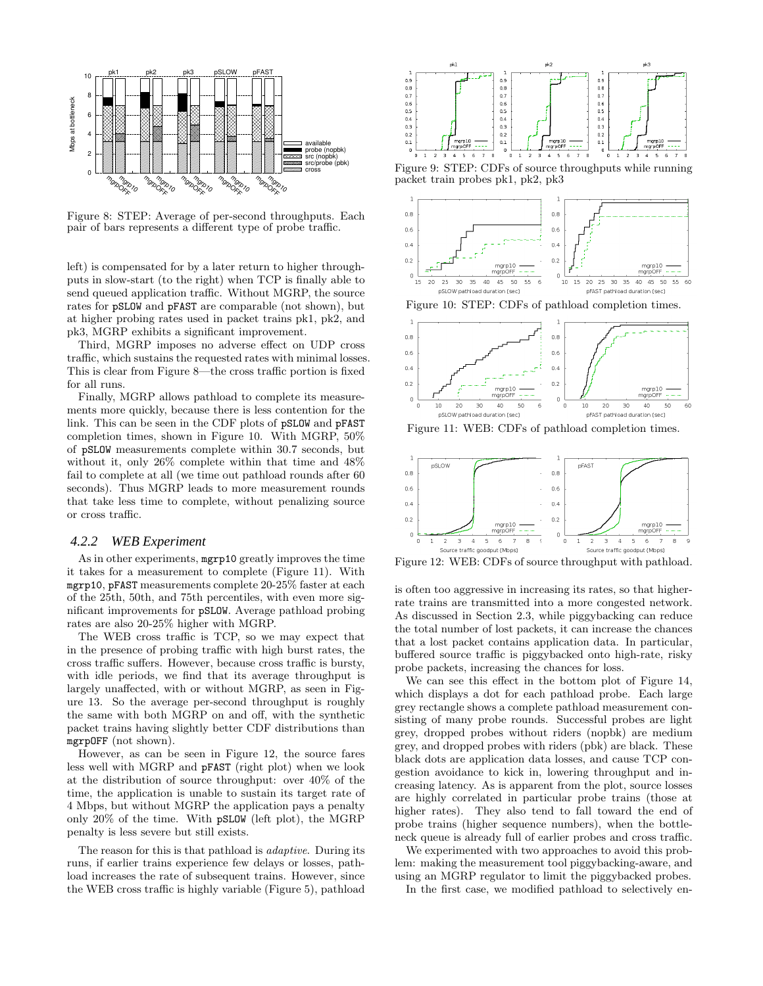

<span id="page-7-1"></span>Figure 8: STEP: Average of per-second throughputs. Each pair of bars represents a different type of probe traffic.

left) is compensated for by a later return to higher throughputs in slow-start (to the right) when TCP is finally able to send queued application traffic. Without MGRP, the source rates for pSLOW and pFAST are comparable (not shown), but at higher probing rates used in packet trains pk1, pk2, and pk3, MGRP exhibits a significant improvement.

Third, MGRP imposes no adverse effect on UDP cross traffic, which sustains the requested rates with minimal losses. This is clear from Figure [8—](#page-7-1)the cross traffic portion is fixed for all runs.

Finally, MGRP allows pathload to complete its measurements more quickly, because there is less contention for the link. This can be seen in the CDF plots of pSLOW and pFAST completion times, shown in Figure [10.](#page-7-3) With MGRP, 50% of pSLOW measurements complete within 30.7 seconds, but without it, only 26% complete within that time and 48% fail to complete at all (we time out pathload rounds after 60 seconds). Thus MGRP leads to more measurement rounds that take less time to complete, without penalizing source or cross traffic.

#### <span id="page-7-0"></span>*4.2.2 WEB Experiment*

As in other experiments, mgrp10 greatly improves the time it takes for a measurement to complete (Figure [11\)](#page-7-4). With mgrp10, pFAST measurements complete 20-25% faster at each of the 25th, 50th, and 75th percentiles, with even more significant improvements for pSLOW. Average pathload probing rates are also 20-25% higher with MGRP.

The WEB cross traffic is TCP, so we may expect that in the presence of probing traffic with high burst rates, the cross traffic suffers. However, because cross traffic is bursty, with idle periods, we find that its average throughput is largely unaffected, with or without MGRP, as seen in Figure [13.](#page-8-1) So the average per-second throughput is roughly the same with both MGRP on and off, with the synthetic packet trains having slightly better CDF distributions than mgrpOFF (not shown).

However, as can be seen in Figure [12,](#page-7-5) the source fares less well with MGRP and pFAST (right plot) when we look at the distribution of source throughput: over 40% of the time, the application is unable to sustain its target rate of 4 Mbps, but without MGRP the application pays a penalty only 20% of the time. With pSLOW (left plot), the MGRP penalty is less severe but still exists.

The reason for this is that pathload is adaptive. During its runs, if earlier trains experience few delays or losses, pathload increases the rate of subsequent trains. However, since the WEB cross traffic is highly variable (Figure [5\)](#page-6-1), pathload



<span id="page-7-2"></span>Figure 9: STEP: CDFs of source throughputs while running packet train probes pk1, pk2, pk3



<span id="page-7-3"></span>Figure 10: STEP: CDFs of pathload completion times.



<span id="page-7-4"></span>Figure 11: WEB: CDFs of pathload completion times.



<span id="page-7-5"></span>Figure 12: WEB: CDFs of source throughput with pathload.

is often too aggressive in increasing its rates, so that higherrate trains are transmitted into a more congested network. As discussed in Section [2.3,](#page-3-1) while piggybacking can reduce the total number of lost packets, it can increase the chances that a lost packet contains application data. In particular, buffered source traffic is piggybacked onto high-rate, risky probe packets, increasing the chances for loss.

We can see this effect in the bottom plot of Figure [14,](#page-8-2) which displays a dot for each pathload probe. Each large grey rectangle shows a complete pathload measurement consisting of many probe rounds. Successful probes are light grey, dropped probes without riders (nopbk) are medium grey, and dropped probes with riders (pbk) are black. These black dots are application data losses, and cause TCP congestion avoidance to kick in, lowering throughput and increasing latency. As is apparent from the plot, source losses are highly correlated in particular probe trains (those at higher rates). They also tend to fall toward the end of probe trains (higher sequence numbers), when the bottleneck queue is already full of earlier probes and cross traffic.

We experimented with two approaches to avoid this problem: making the measurement tool piggybacking-aware, and using an MGRP regulator to limit the piggybacked probes.

In the first case, we modified pathload to selectively en-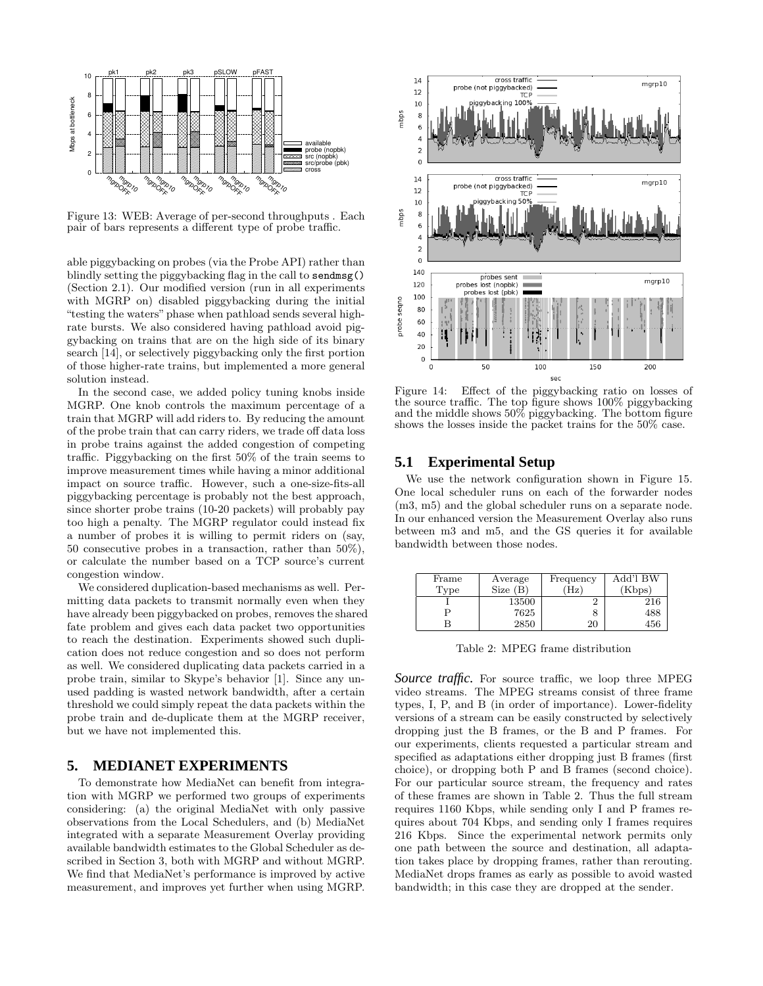

<span id="page-8-1"></span>Figure 13: WEB: Average of per-second throughputs . Each pair of bars represents a different type of probe traffic.

able piggybacking on probes (via the Probe API) rather than blindly setting the piggybacking flag in the call to sendmsg() (Section [2.1\)](#page-1-3). Our modified version (run in all experiments with MGRP on) disabled piggybacking during the initial "testing the waters" phase when pathload sends several highrate bursts. We also considered having pathload avoid piggybacking on trains that are on the high side of its binary search [\[14\]](#page-11-5), or selectively piggybacking only the first portion of those higher-rate trains, but implemented a more general solution instead.

In the second case, we added policy tuning knobs inside MGRP. One knob controls the maximum percentage of a train that MGRP will add riders to. By reducing the amount of the probe train that can carry riders, we trade off data loss in probe trains against the added congestion of competing traffic. Piggybacking on the first 50% of the train seems to improve measurement times while having a minor additional impact on source traffic. However, such a one-size-fits-all piggybacking percentage is probably not the best approach, since shorter probe trains (10-20 packets) will probably pay too high a penalty. The MGRP regulator could instead fix a number of probes it is willing to permit riders on (say, 50 consecutive probes in a transaction, rather than 50%), or calculate the number based on a TCP source's current congestion window.

We considered duplication-based mechanisms as well. Permitting data packets to transmit normally even when they have already been piggybacked on probes, removes the shared fate problem and gives each data packet two opportunities to reach the destination. Experiments showed such duplication does not reduce congestion and so does not perform as well. We considered duplicating data packets carried in a probe train, similar to Skype's behavior [\[1\]](#page-11-28). Since any unused padding is wasted network bandwidth, after a certain threshold we could simply repeat the data packets within the probe train and de-duplicate them at the MGRP receiver, but we have not implemented this.

## <span id="page-8-0"></span>**5. MEDIANET EXPERIMENTS**

To demonstrate how MediaNet can benefit from integration with MGRP we performed two groups of experiments considering: (a) the original MediaNet with only passive observations from the Local Schedulers, and (b) MediaNet integrated with a separate Measurement Overlay providing available bandwidth estimates to the Global Scheduler as described in Section [3,](#page-4-0) both with MGRP and without MGRP. We find that MediaNet's performance is improved by active measurement, and improves yet further when using MGRP.



<span id="page-8-2"></span>Figure 14: Effect of the piggybacking ratio on losses of the source traffic. The top figure shows 100% piggybacking and the middle shows 50% piggybacking. The bottom figure shows the losses inside the packet trains for the 50% case.

## **5.1 Experimental Setup**

We use the network configuration shown in Figure [15.](#page-9-0) One local scheduler runs on each of the forwarder nodes (m3, m5) and the global scheduler runs on a separate node. In our enhanced version the Measurement Overlay also runs between m3 and m5, and the GS queries it for available bandwidth between those nodes.

| Frame<br>Type | Average<br>Size(B) | Frequency<br>Hz. | Add'l BW<br>(Kbps) |
|---------------|--------------------|------------------|--------------------|
|               | 13500              |                  | 216                |
|               | 7625               |                  | 488                |
|               | 2850               | 20               | 456                |

<span id="page-8-3"></span>Table 2: MPEG frame distribution

*Source traffic.* For source traffic, we loop three MPEG video streams. The MPEG streams consist of three frame types, I, P, and B (in order of importance). Lower-fidelity versions of a stream can be easily constructed by selectively dropping just the B frames, or the B and P frames. For our experiments, clients requested a particular stream and specified as adaptations either dropping just B frames (first choice), or dropping both P and B frames (second choice). For our particular source stream, the frequency and rates of these frames are shown in Table [2.](#page-8-3) Thus the full stream requires 1160 Kbps, while sending only I and P frames requires about 704 Kbps, and sending only I frames requires 216 Kbps. Since the experimental network permits only one path between the source and destination, all adaptation takes place by dropping frames, rather than rerouting. MediaNet drops frames as early as possible to avoid wasted bandwidth; in this case they are dropped at the sender.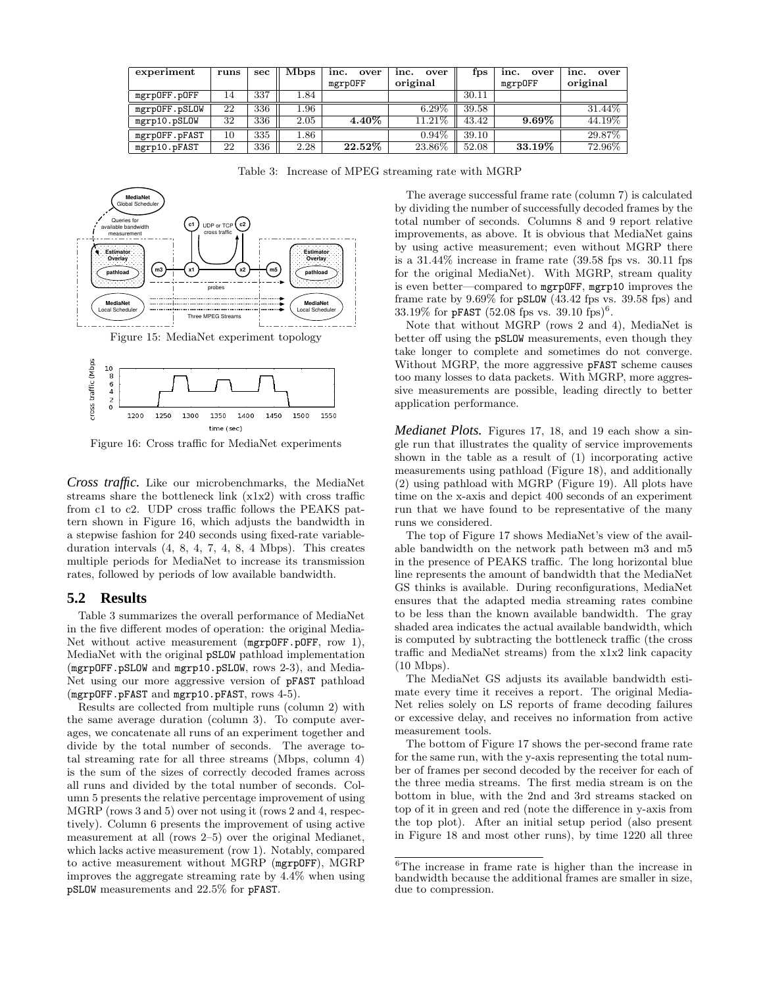| experiment    | runs | sec | <b>Mbps</b> | inc.<br>over<br>mgrpOFF | over<br>inc.<br>original | fps   | over<br>inc.<br>mgrpOFF | over<br>inc.<br>original |
|---------------|------|-----|-------------|-------------------------|--------------------------|-------|-------------------------|--------------------------|
| mgrpOFF.pOFF  | 14   | 337 | 1.84        |                         |                          | 30.11 |                         |                          |
| mgrpOFF.pSLOW | 22   | 336 | 1.96        |                         | $6.29\%$                 | 39.58 |                         | 31.44%                   |
| mgrp10.pSL0W  | 32   | 336 | 2.05        | $4.40\%$                | 11.21%                   | 43.42 | $9.69\%$                | 44.19%                   |
| mgrpOFF.pFAST | 10   | 335 | .86         |                         | $0.94\%$                 | 39.10 |                         | 29.87%                   |
| mgrp10.pFAST  | 22   | 336 | 2.28        | $22.52\%$               | $23.86\%$                | 52.08 | 33.19%                  | 72.96%                   |

<span id="page-9-2"></span>Table 3: Increase of MPEG streaming rate with MGRP



<span id="page-9-0"></span>

<span id="page-9-1"></span>Figure 16: Cross traffic for MediaNet experiments

*Cross traffic.* Like our microbenchmarks, the MediaNet streams share the bottleneck link (x1x2) with cross traffic from c1 to c2. UDP cross traffic follows the PEAKS pattern shown in Figure [16,](#page-9-1) which adjusts the bandwidth in a stepwise fashion for 240 seconds using fixed-rate variableduration intervals (4, 8, 4, 7, 4, 8, 4 Mbps). This creates multiple periods for MediaNet to increase its transmission rates, followed by periods of low available bandwidth.

### **5.2 Results**

Table [3](#page-9-2) summarizes the overall performance of MediaNet in the five different modes of operation: the original Media-Net without active measurement (mgrpOFF.pOFF, row 1), MediaNet with the original pSLOW pathload implementation (mgrpOFF.pSLOW and mgrp10.pSLOW, rows 2-3), and Media-Net using our more aggressive version of pFAST pathload (mgrpOFF.pFAST and mgrp10.pFAST, rows 4-5).

Results are collected from multiple runs (column 2) with the same average duration (column 3). To compute averages, we concatenate all runs of an experiment together and divide by the total number of seconds. The average total streaming rate for all three streams (Mbps, column 4) is the sum of the sizes of correctly decoded frames across all runs and divided by the total number of seconds. Column 5 presents the relative percentage improvement of using MGRP (rows 3 and 5) over not using it (rows 2 and 4, respectively). Column 6 presents the improvement of using active measurement at all (rows 2–5) over the original Medianet, which lacks active measurement (row 1). Notably, compared to active measurement without MGRP (mgrpOFF), MGRP improves the aggregate streaming rate by 4.4% when using pSLOW measurements and 22.5% for pFAST.

The average successful frame rate (column 7) is calculated by dividing the number of successfully decoded frames by the total number of seconds. Columns 8 and 9 report relative improvements, as above. It is obvious that MediaNet gains by using active measurement; even without MGRP there is a 31.44% increase in frame rate (39.58 fps vs. 30.11 fps for the original MediaNet). With MGRP, stream quality is even better—compared to mgrpOFF, mgrp10 improves the frame rate by  $9.69\%$  for  $pSLOW$  (43.42 fps vs. 39.58 fps) and 33.19% for pFAST  $(52.08 \text{ fps vs. } 39.10 \text{ fps})^6$  $(52.08 \text{ fps vs. } 39.10 \text{ fps})^6$ .

Note that without MGRP (rows 2 and 4), MediaNet is better off using the pSLOW measurements, even though they take longer to complete and sometimes do not converge. Without MGRP, the more aggressive pFAST scheme causes too many losses to data packets. With MGRP, more aggressive measurements are possible, leading directly to better application performance.

*Medianet Plots.* Figures [17,](#page-10-0) [18,](#page-10-1) and [19](#page-10-2) each show a single run that illustrates the quality of service improvements shown in the table as a result of (1) incorporating active measurements using pathload (Figure [18\)](#page-10-1), and additionally (2) using pathload with MGRP (Figure [19\)](#page-10-2). All plots have time on the x-axis and depict 400 seconds of an experiment run that we have found to be representative of the many runs we considered.

The top of Figure [17](#page-10-0) shows MediaNet's view of the available bandwidth on the network path between m3 and m5 in the presence of PEAKS traffic. The long horizontal blue line represents the amount of bandwidth that the MediaNet GS thinks is available. During reconfigurations, MediaNet ensures that the adapted media streaming rates combine to be less than the known available bandwidth. The gray shaded area indicates the actual available bandwidth, which is computed by subtracting the bottleneck traffic (the cross traffic and MediaNet streams) from the x1x2 link capacity (10 Mbps).

The MediaNet GS adjusts its available bandwidth estimate every time it receives a report. The original Media-Net relies solely on LS reports of frame decoding failures or excessive delay, and receives no information from active measurement tools.

The bottom of Figure [17](#page-10-0) shows the per-second frame rate for the same run, with the y-axis representing the total number of frames per second decoded by the receiver for each of the three media streams. The first media stream is on the bottom in blue, with the 2nd and 3rd streams stacked on top of it in green and red (note the difference in y-axis from the top plot). After an initial setup period (also present in Figure [18](#page-10-1) and most other runs), by time 1220 all three

<span id="page-9-3"></span> ${}^{6}$ The increase in frame rate is higher than the increase in bandwidth because the additional frames are smaller in size, due to compression.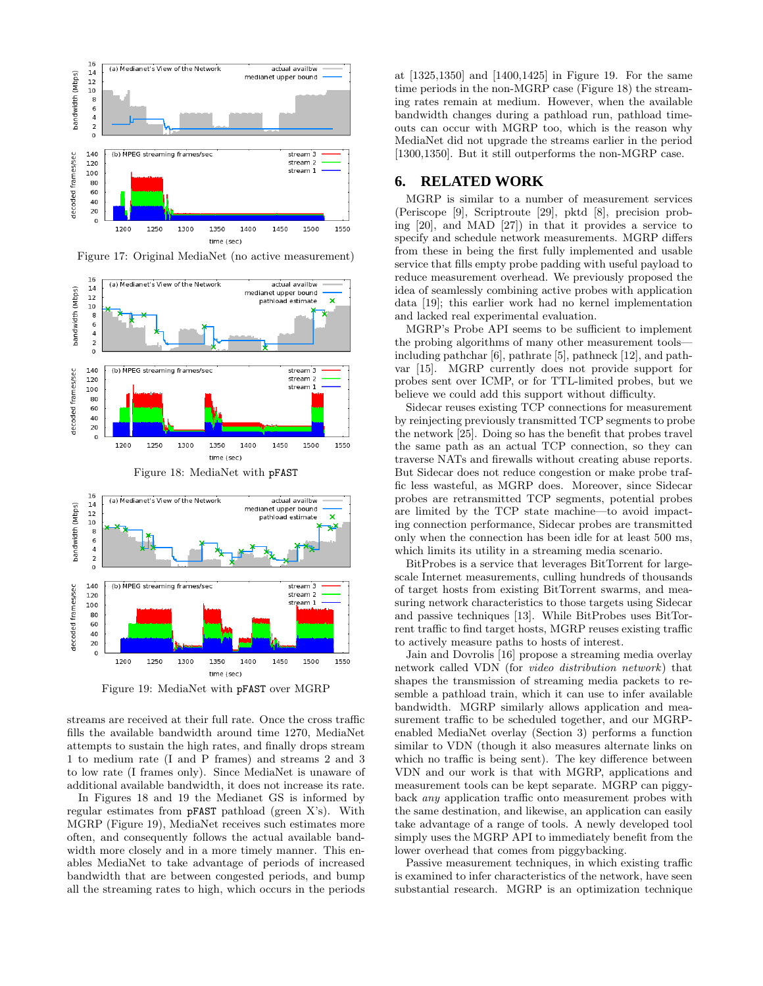

<span id="page-10-0"></span>Figure 17: Original MediaNet (no active measurement)



<span id="page-10-2"></span>Figure 19: MediaNet with pFAST over MGRP

streams are received at their full rate. Once the cross traffic fills the available bandwidth around time 1270, MediaNet attempts to sustain the high rates, and finally drops stream 1 to medium rate (I and P frames) and streams 2 and 3 to low rate (I frames only). Since MediaNet is unaware of additional available bandwidth, it does not increase its rate.

In Figures [18](#page-10-1) and [19](#page-10-2) the Medianet GS is informed by regular estimates from pFAST pathload (green X's). With MGRP (Figure [19\)](#page-10-2), MediaNet receives such estimates more often, and consequently follows the actual available bandwidth more closely and in a more timely manner. This enables MediaNet to take advantage of periods of increased bandwidth that are between congested periods, and bump all the streaming rates to high, which occurs in the periods at [1325,1350] and [1400,1425] in Figure [19.](#page-10-2) For the same time periods in the non-MGRP case (Figure [18\)](#page-10-1) the streaming rates remain at medium. However, when the available bandwidth changes during a pathload run, pathload timeouts can occur with MGRP too, which is the reason why MediaNet did not upgrade the streams earlier in the period [1300,1350]. But it still outperforms the non-MGRP case.

# **6. RELATED WORK**

MGRP is similar to a number of measurement services (Periscope [\[9\]](#page-11-14), Scriptroute [\[29\]](#page-11-29), pktd [\[8\]](#page-11-30), precision probing [\[20\]](#page-11-31), and MAD [\[27\]](#page-11-13)) in that it provides a service to specify and schedule network measurements. MGRP differs from these in being the first fully implemented and usable service that fills empty probe padding with useful payload to reduce measurement overhead. We previously proposed the idea of seamlessly combining active probes with application data [\[19\]](#page-11-32); this earlier work had no kernel implementation and lacked real experimental evaluation.

MGRP's Probe API seems to be sufficient to implement the probing algorithms of many other measurement tools including pathchar [\[6\]](#page-11-10), pathrate [\[5\]](#page-11-9), pathneck [\[12\]](#page-11-11), and pathvar [\[15\]](#page-11-12). MGRP currently does not provide support for probes sent over ICMP, or for TTL-limited probes, but we believe we could add this support without difficulty.

<span id="page-10-1"></span>Sidecar reuses existing TCP connections for measurement by reinjecting previously transmitted TCP segments to probe the network [\[25\]](#page-11-33). Doing so has the benefit that probes travel the same path as an actual TCP connection, so they can traverse NATs and firewalls without creating abuse reports. But Sidecar does not reduce congestion or make probe traffic less wasteful, as MGRP does. Moreover, since Sidecar probes are retransmitted TCP segments, potential probes are limited by the TCP state machine—to avoid impacting connection performance, Sidecar probes are transmitted only when the connection has been idle for at least 500 ms, which limits its utility in a streaming media scenario.

BitProbes is a service that leverages BitTorrent for largescale Internet measurements, culling hundreds of thousands of target hosts from existing BitTorrent swarms, and measuring network characteristics to those targets using Sidecar and passive techniques [\[13\]](#page-11-34). While BitProbes uses BitTorrent traffic to find target hosts, MGRP reuses existing traffic to actively measure paths to hosts of interest.

Jain and Dovrolis [\[16\]](#page-11-7) propose a streaming media overlay network called VDN (for video distribution network) that shapes the transmission of streaming media packets to resemble a pathload train, which it can use to infer available bandwidth. MGRP similarly allows application and measurement traffic to be scheduled together, and our MGRPenabled MediaNet overlay (Section [3\)](#page-4-0) performs a function similar to VDN (though it also measures alternate links on which no traffic is being sent). The key difference between VDN and our work is that with MGRP, applications and measurement tools can be kept separate. MGRP can piggyback any application traffic onto measurement probes with the same destination, and likewise, an application can easily take advantage of a range of tools. A newly developed tool simply uses the MGRP API to immediately benefit from the lower overhead that comes from piggybacking.

Passive measurement techniques, in which existing traffic is examined to infer characteristics of the network, have seen substantial research. MGRP is an optimization technique